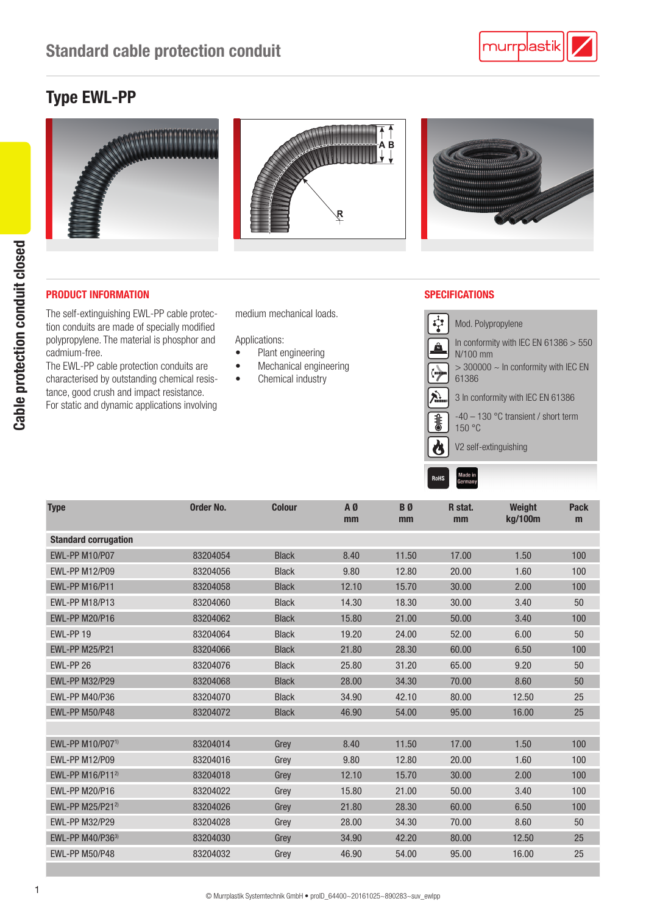# Type EWL-PP



# PRODUCT INFORMATION SPECIFICATIONS

The self-extinguishing EWL-PP cable protection conduits are made of specially modified polypropylene. The material is phosphor and cadmium-free.

The EWL-PP cable protection conduits are characterised by outstanding chemical resistance, good crush and impact resistance. For static and dynamic applications involving

medium mechanical loads.

Applications:

- Plant engineering
- Mechanical engineering
- Chemical industry



Made in RoHS

| Order No. | <b>Colour</b> | A0<br>mm | B <sub>0</sub><br>mm | R stat.<br>mm | <b>Weight</b><br>kg/100m | <b>Pack</b><br>m |
|-----------|---------------|----------|----------------------|---------------|--------------------------|------------------|
|           |               |          |                      |               |                          |                  |
| 83204054  | <b>Black</b>  | 8.40     | 11.50                | 17.00         | 1.50                     | 100              |
| 83204056  | <b>Black</b>  | 9.80     | 12.80                | 20.00         | 1.60                     | 100              |
| 83204058  | <b>Black</b>  | 12.10    | 15.70                | 30.00         | 2.00                     | 100              |
| 83204060  | <b>Black</b>  | 14.30    | 18.30                | 30.00         | 3.40                     | 50               |
| 83204062  | <b>Black</b>  | 15.80    | 21.00                | 50.00         | 3.40                     | 100              |
| 83204064  | <b>Black</b>  | 19.20    | 24.00                | 52.00         | 6.00                     | 50               |
| 83204066  | <b>Black</b>  | 21.80    | 28.30                | 60.00         | 6.50                     | 100              |
| 83204076  | <b>Black</b>  | 25.80    | 31.20                | 65.00         | 9.20                     | 50               |
| 83204068  | <b>Black</b>  | 28.00    | 34.30                | 70.00         | 8.60                     | 50               |
| 83204070  | <b>Black</b>  | 34.90    | 42.10                | 80.00         | 12.50                    | 25               |
| 83204072  | <b>Black</b>  | 46.90    | 54.00                | 95.00         | 16.00                    | 25               |
|           |               |          |                      |               |                          |                  |
| 83204014  | Grey          | 8.40     | 11.50                | 17.00         | 1.50                     | 100              |
| 83204016  | Grey          | 9.80     | 12.80                | 20.00         | 1.60                     | 100              |
| 83204018  | Grey          | 12.10    | 15.70                | 30.00         | 2.00                     | 100              |
| 83204022  | Grey          | 15.80    | 21.00                | 50.00         | 3.40                     | 100              |
| 83204026  | Grey          | 21.80    | 28.30                | 60.00         | 6.50                     | 100              |
| 83204028  | Grey          | 28.00    | 34.30                | 70.00         | 8.60                     | 50               |
| 83204030  | Grey          | 34.90    | 42.20                | 80.00         | 12.50                    | 25               |
| 83204032  | Grey          | 46.90    | 54.00                | 95.00         | 16.00                    | 25               |
|           |               |          |                      |               |                          |                  |